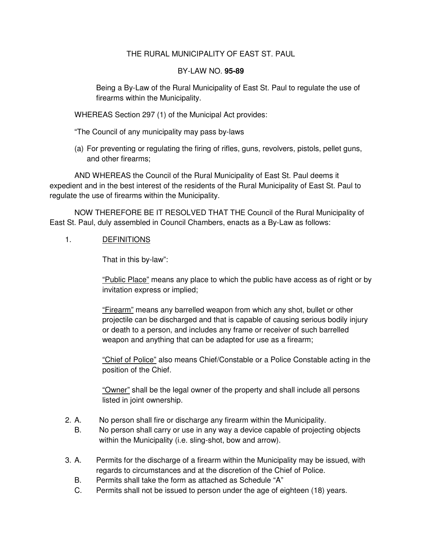## THE RURAL MUNICIPALITY OF EAST ST. PAUL

## BY-LAW NO. **95-89**

Being a By-Law of the Rural Municipality of East St. Paul to regulate the use of firearms within the Municipality.

WHEREAS Section 297 (1) of the Municipal Act provides:

"The Council of any municipality may pass by-laws

(a) For preventing or regulating the firing of rifles, guns, revolvers, pistols, pellet guns, and other firearms;

AND WHEREAS the Council of the Rural Municipality of East St. Paul deems it expedient and in the best interest of the residents of the Rural Municipality of East St. Paul to regulate the use of firearms within the Municipality.

NOW THEREFORE BE IT RESOLVED THAT THE Council of the Rural Municipality of East St. Paul, duly assembled in Council Chambers, enacts as a By-Law as follows:

## 1. DEFINITIONS

That in this by-law":

"Public Place" means any place to which the public have access as of right or by invitation express or implied;

"Firearm" means any barrelled weapon from which any shot, bullet or other projectile can be discharged and that is capable of causing serious bodily injury or death to a person, and includes any frame or receiver of such barrelled weapon and anything that can be adapted for use as a firearm;

"Chief of Police" also means Chief/Constable or a Police Constable acting in the position of the Chief.

"Owner" shall be the legal owner of the property and shall include all persons listed in joint ownership.

- 2. A. No person shall fire or discharge any firearm within the Municipality.
	- B. No person shall carry or use in any way a device capable of projecting objects within the Municipality (i.e. sling-shot, bow and arrow).
- 3. A. Permits for the discharge of a firearm within the Municipality may be issued, with regards to circumstances and at the discretion of the Chief of Police.
	- B. Permits shall take the form as attached as Schedule "A"
	- C. Permits shall not be issued to person under the age of eighteen (18) years.